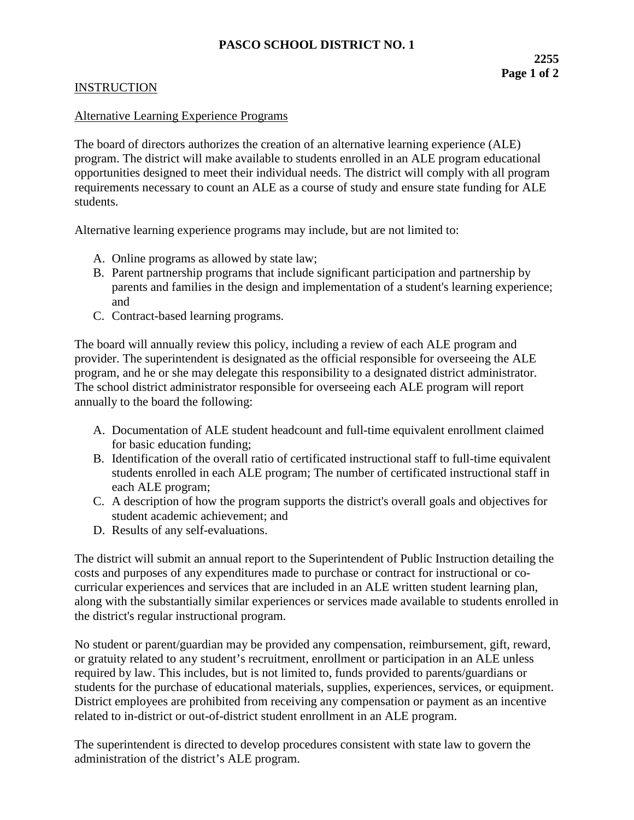## **INSTRUCTION**

## Alternative Learning Experience Programs

The board of directors authorizes the creation of an alternative learning experience (ALE) program. The district will make available to students enrolled in an ALE program educational opportunities designed to meet their individual needs. The district will comply with all program requirements necessary to count an ALE as a course of study and ensure state funding for ALE students.

Alternative learning experience programs may include, but are not limited to:

- A. Online programs as allowed by state law;
- B. Parent partnership programs that include significant participation and partnership by parents and families in the design and implementation of a student's learning experience; and
- C. Contract-based learning programs.

The board will annually review this policy, including a review of each ALE program and provider. The superintendent is designated as the official responsible for overseeing the ALE program, and he or she may delegate this responsibility to a designated district administrator. The school district administrator responsible for overseeing each ALE program will report annually to the board the following:

- A. Documentation of ALE student headcount and full-time equivalent enrollment claimed for basic education funding;
- B. Identification of the overall ratio of certificated instructional staff to full-time equivalent students enrolled in each ALE program; The number of certificated instructional staff in each ALE program;
- C. A description of how the program supports the district's overall goals and objectives for student academic achievement; and
- D. Results of any self-evaluations.

The district will submit an annual report to the Superintendent of Public Instruction detailing the costs and purposes of any expenditures made to purchase or contract for instructional or cocurricular experiences and services that are included in an ALE written student learning plan, along with the substantially similar experiences or services made available to students enrolled in the district's regular instructional program.

No student or parent/guardian may be provided any compensation, reimbursement, gift, reward, or gratuity related to any student's recruitment, enrollment or participation in an ALE unless required by law. This includes, but is not limited to, funds provided to parents/guardians or students for the purchase of educational materials, supplies, experiences, services, or equipment. District employees are prohibited from receiving any compensation or payment as an incentive related to in-district or out-of-district student enrollment in an ALE program.

The superintendent is directed to develop procedures consistent with state law to govern the administration of the district's ALE program.